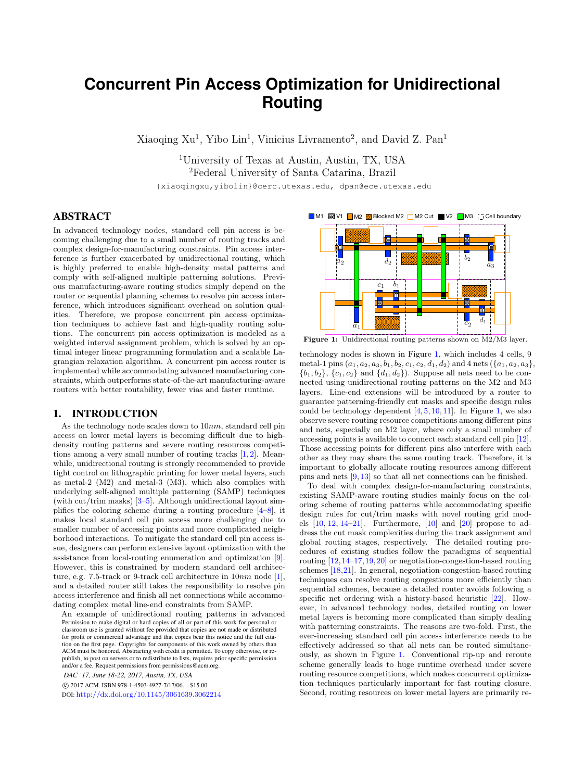# **Concurrent Pin Access Optimization for Unidirectional Routing**

Xiaoqing Xu<sup>1</sup>, Yibo Lin<sup>1</sup>, Vinicius Livramento<sup>2</sup>, and David Z. Pan<sup>1</sup>

<sup>1</sup>University of Texas at Austin, Austin, TX, USA <sup>2</sup>Federal University of Santa Catarina, Brazil

{xiaoqingxu,yibolin}@cerc.utexas.edu, dpan@ece.utexas.edu

# ABSTRACT

In advanced technology nodes, standard cell pin access is becoming challenging due to a small number of routing tracks and complex design-for-manufacturing constraints. Pin access interference is further exacerbated by unidirectional routing, which is highly preferred to enable high-density metal patterns and comply with self-aligned multiple patterning solutions. Previous manufacturing-aware routing studies simply depend on the router or sequential planning schemes to resolve pin access interference, which introduces significant overhead on solution qualities. Therefore, we propose concurrent pin access optimization techniques to achieve fast and high-quality routing solutions. The concurrent pin access optimization is modeled as a weighted interval assignment problem, which is solved by an optimal integer linear programming formulation and a scalable Lagrangian relaxation algorithm. A concurrent pin access router is implemented while accommodating advanced manufacturing constraints, which outperforms state-of-the-art manufacturing-aware routers with better routability, fewer vias and faster runtime.

# 1. INTRODUCTION

As the technology node scales down to  $10nm$ , standard cell pin access on lower metal layers is becoming difficult due to highdensity routing patterns and severe routing resources competitions among a very small number of routing tracks  $[1, 2]$  $[1, 2]$  $[1, 2]$ . Meanwhile, unidirectional routing is strongly recommended to provide tight control on lithographic printing for lower metal layers, such as metal-2 (M2) and metal-3 (M3), which also complies with underlying self-aligned multiple patterning (SAMP) techniques (with cut/trim masks) [\[3](#page-5-2)[–5\]](#page-5-3). Although unidirectional layout simplifies the coloring scheme during a routing procedure [\[4](#page-5-4)[–8\]](#page-5-5), it makes local standard cell pin access more challenging due to smaller number of accessing points and more complicated neighborhood interactions. To mitigate the standard cell pin access issue, designers can perform extensive layout optimization with the assistance from local-routing enumeration and optimization [\[9\]](#page-5-6). However, this is constrained by modern standard cell architecture, e.g. 7.5-track or 9-track cell architecture in 10nm node [\[1\]](#page-5-0), and a detailed router still takes the responsibility to resolve pin access interference and finish all net connections while accommodating complex metal line-end constraints from SAMP.

An example of unidirectional routing patterns in advanced Permission to make digital or hard copies of all or part of this work for personal or classroom use is granted without fee provided that copies are not made or distributed for profit or commercial advantage and that copies bear this notice and the full citation on the first page. Copyrights for components of this work owned by others than ACM must be honored. Abstracting with credit is permitted. To copy otherwise, or republish, to post on servers or to redistribute to lists, requires prior specific permission and/or a fee. Request permissions from permissions@acm.org.

*DAC '17, June 18-22, 2017, Austin, TX, USA*

c 2017 ACM. ISBN 978-1-4503-4927-7/17/06. . . \$15.00

DOI: <http://dx.doi.org/10.1145/3061639.3062214>

<span id="page-0-1"></span><span id="page-0-0"></span>

technology nodes is shown in Figure [1,](#page-0-0) which includes 4 cells, 9 metal-1 pins  $(a_1, a_2, a_3, b_1, b_2, c_1, c_2, d_1, d_2)$  and 4 nets  $({a_1, a_2, a_3})$  $\{b_1, b_2\}, \{c_1, c_2\}$  and  $\{d_1, d_2\}$ . Suppose all nets need to be connected using unidirectional routing patterns on the M2 and M3 layers. Line-end extensions will be introduced by a router to guarantee patterning-friendly cut masks and specific design rules could be technology dependent  $[4, 5, 10, 11]$  $[4, 5, 10, 11]$  $[4, 5, 10, 11]$  $[4, 5, 10, 11]$  $[4, 5, 10, 11]$  $[4, 5, 10, 11]$  $[4, 5, 10, 11]$ . In Figure [1,](#page-0-0) we also observe severe routing resource competitions among different pins and nets, especially on M2 layer, where only a small number of

accessing points is available to connect each standard cell pin [\[12\]](#page-5-9). Those accessing points for different pins also interfere with each other as they may share the same routing track. Therefore, it is important to globally allocate routing resources among different pins and nets [\[9,](#page-5-6) [13\]](#page-5-10) so that all net connections can be finished. To deal with complex design-for-manufacturing constraints,

existing SAMP-aware routing studies mainly focus on the coloring scheme of routing patterns while accommodating specific design rules for cut/trim masks with novel routing grid models  $[10, 12, 14-21]$  $[10, 12, 14-21]$  $[10, 12, 14-21]$  $[10, 12, 14-21]$  $[10, 12, 14-21]$ . Furthermore,  $[10]$  and  $[20]$  propose to address the cut mask complexities during the track assignment and global routing stages, respectively. The detailed routing procedures of existing studies follow the paradigms of sequential routing [\[12,](#page-5-9)[14–](#page-5-11)[17,](#page-5-14)[19,](#page-5-15)[20\]](#page-5-13) or negotiation-congestion-based routing schemes [\[18,](#page-5-16)[21\]](#page-5-12). In general, negotiation-congestion-based routing techniques can resolve routing congestions more efficiently than sequential schemes, because a detailed router avoids following a specific net ordering with a history-based heuristic [\[22\]](#page-5-17). However, in advanced technology nodes, detailed routing on lower metal layers is becoming more complicated than simply dealing with patterning constraints. The reasons are two-fold. First, the ever-increasing standard cell pin access interference needs to be effectively addressed so that all nets can be routed simultaneously, as shown in Figure [1.](#page-0-0) Conventional rip-up and reroute scheme generally leads to huge runtime overhead under severe routing resource competitions, which makes concurrent optimization techniques particularly important for fast routing closure. Second, routing resources on lower metal layers are primarily re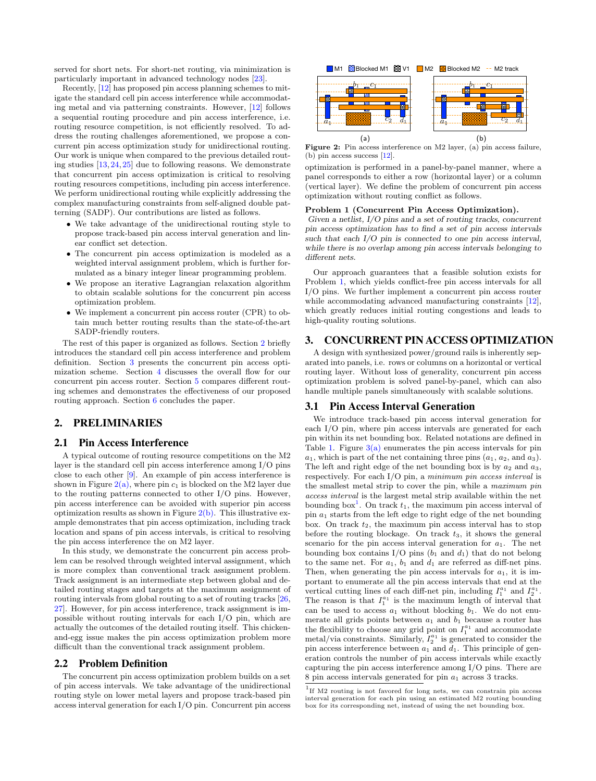served for short nets. For short-net routing, via minimization is particularly important in advanced technology nodes [\[23\]](#page-5-18).

Recently, [\[12\]](#page-5-19) has proposed pin access planning schemes to mitigate the standard cell pin access interference while accommodating metal and via patterning constraints. However, [\[12\]](#page-5-19) follows a sequential routing procedure and pin access interference, i.e. routing resource competition, is not efficiently resolved. To address the routing challenges aforementioned, we propose a concurrent pin access optimization study for unidirectional routing. Our work is unique when compared to the previous detailed routing studies [\[13,](#page-5-20) [24,](#page-5-21) [25\]](#page-5-22) due to following reasons. We demonstrate that concurrent pin access optimization is critical to resolving routing resources competitions, including pin access interference. We perform unidirectional routing while explicitly addressing the complex manufacturing constraints from self-aligned double patterning (SADP). Our contributions are listed as follows.

- We take advantage of the unidirectional routing style to propose track-based pin access interval generation and linear conflict set detection.
- The concurrent pin access optimization is modeled as a weighted interval assignment problem, which is further formulated as a binary integer linear programming problem.
- We propose an iterative Lagrangian relaxation algorithm to obtain scalable solutions for the concurrent pin access optimization problem.
- We implement a concurrent pin access router (CPR) to obtain much better routing results than the state-of-the-art SADP-friendly routers.

The rest of this paper is organized as follows. Section [2](#page-1-0) briefly introduces the standard cell pin access interference and problem definition. Section [3](#page-1-1) presents the concurrent pin access optimization scheme. Section [4](#page-3-0) discusses the overall flow for our concurrent pin access router. Section [5](#page-4-0) compares different routing schemes and demonstrates the effectiveness of our proposed routing approach. Section [6](#page-5-23) concludes the paper.

# <span id="page-1-0"></span>2. PRELIMINARIES

#### 2.1 Pin Access Interference

A typical outcome of routing resource competitions on the M2 layer is the standard cell pin access interference among I/O pins close to each other [\[9\]](#page-5-24). An example of pin access interference is shown in Figure [2\(a\),](#page-1-2) where pin  $c_1$  is blocked on the M2 layer due to the routing patterns connected to other I/O pins. However, pin access interference can be avoided with superior pin access optimization results as shown in Figure  $2(b)$ . This illustrative example demonstrates that pin access optimization, including track location and spans of pin access intervals, is critical to resolving the pin access interference the on M2 layer.

In this study, we demonstrate the concurrent pin access problem can be resolved through weighted interval assignment, which is more complex than conventional track assignment problem. Track assignment is an intermediate step between global and detailed routing stages and targets at the maximum assignment of routing intervals from global routing to a set of routing tracks [\[26,](#page-5-25) [27\]](#page-5-26). However, for pin access interference, track assignment is impossible without routing intervals for each I/O pin, which are actually the outcomes of the detailed routing itself. This chickenand-egg issue makes the pin access optimization problem more difficult than the conventional track assignment problem.

#### 2.2 Problem Definition

The concurrent pin access optimization problem builds on a set of pin access intervals. We take advantage of the unidirectional routing style on lower metal layers and propose track-based pin access interval generation for each I/O pin. Concurrent pin access

<span id="page-1-3"></span>

<span id="page-1-2"></span>Figure 2: Pin access interference on M2 layer, (a) pin access failure, (b) pin access success [\[12\]](#page-5-19).

<span id="page-1-4"></span>optimization is performed in a panel-by-panel manner, where a panel corresponds to either a row (horizontal layer) or a column (vertical layer). We define the problem of concurrent pin access optimization without routing conflict as follows.

#### Problem 1 (Concurrent Pin Access Optimization).

Given a netlist, I/O pins and a set of routing tracks, concurrent pin access optimization has to find a set of pin access intervals such that each I/O pin is connected to one pin access interval, while there is no overlap among pin access intervals belonging to different nets.

Our approach guarantees that a feasible solution exists for Problem [1,](#page-1-4) which yields conflict-free pin access intervals for all I/O pins. We further implement a concurrent pin access router while accommodating advanced manufacturing constraints [\[12\]](#page-5-19), which greatly reduces initial routing congestions and leads to high-quality routing solutions.

#### <span id="page-1-1"></span>3. CONCURRENT PIN ACCESS OPTIMIZATION

A design with synthesized power/ground rails is inherently separated into panels, i.e. rows or columns on a horizontal or vertical routing layer. Without loss of generality, concurrent pin access optimization problem is solved panel-by-panel, which can also handle multiple panels simultaneously with scalable solutions.

#### <span id="page-1-6"></span>3.1 Pin Access Interval Generation

We introduce track-based pin access interval generation for each I/O pin, where pin access intervals are generated for each pin within its net bounding box. Related notations are defined in Table [1.](#page-2-0) Figure  $3(a)$  enumerates the pin access intervals for pin  $a_1$ , which is part of the net containing three pins  $(a_1, a_2, \text{ and } a_3)$ . The left and right edge of the net bounding box is by  $a_2$  and  $a_3$ , respectively. For each I/O pin, a minimum pin access interval is the smallest metal strip to cover the pin, while a maximum pin access interval is the largest metal strip available within the net bounding box<sup>[1](#page-1-5)</sup>. On track  $t_1$ , the maximum pin access interval of pin  $a_1$  starts from the left edge to right edge of the net bounding box. On track  $t_2$ , the maximum pin access interval has to stop before the routing blockage. On track  $t_3$ , it shows the general scenario for the pin access interval generation for  $a_1$ . The net bounding box contains I/O pins  $(b_1 \text{ and } d_1)$  that do not belong to the same net. For  $a_1$ ,  $b_1$  and  $d_1$  are referred as diff-net pins. Then, when generating the pin access intervals for  $a_1$ , it is important to enumerate all the pin access intervals that end at the vertical cutting lines of each diff-net pin, including  $I_1^{a_1}$  and  $I_2^{a_1}$ . The reason is that  $I_1^{a_1}$  is the maximum length of interval that can be used to access  $a_1$  without blocking  $b_1$ . We do not enumerate all grids points between  $a_1$  and  $b_1$  because a router has the flexibility to choose any grid point on  $I_1^{a_1}$  and accommodate metal/via constraints. Similarly,  $I_2^{a_1}$  is generated to consider the pin access interference between  $a_1$  and  $d_1$ . This principle of generation controls the number of pin access intervals while exactly capturing the pin access interference among I/O pins. There are 8 pin access intervals generated for pin  $a_1$  across 3 tracks.

<span id="page-1-5"></span><sup>&</sup>lt;sup>1</sup>If M2 routing is not favored for long nets, we can constrain pin access interval generation for each pin using an estimated M2 routing bounding box for its corresponding net, instead of using the net bounding box.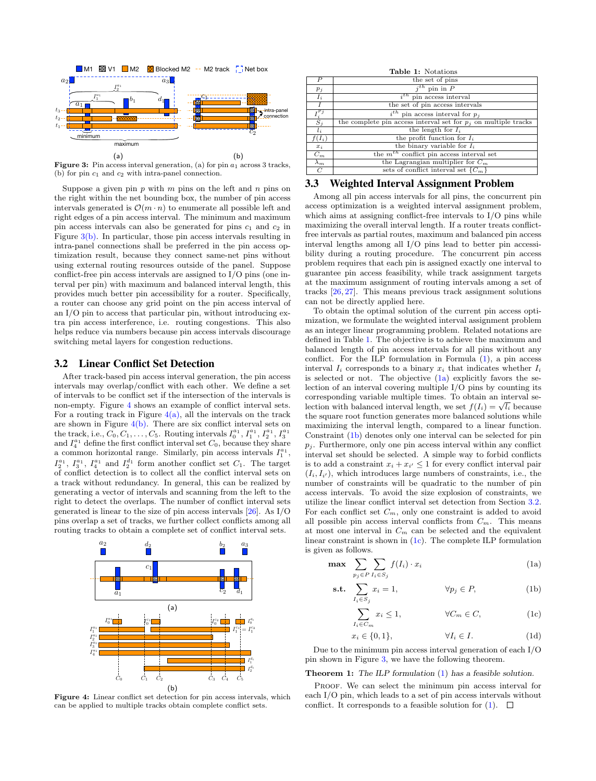<span id="page-2-11"></span>

<span id="page-2-2"></span><span id="page-2-1"></span>**Figure 3:** Pin access interval generation, (a) for pin  $a_1$  across 3 tracks, (b) for pin  $c_1$  and  $c_2$  with intra-panel connection.

Suppose a given pin  $p$  with  $m$  pins on the left and  $n$  pins on the right within the net bounding box, the number of pin access intervals generated is  $\mathcal{O}(m \cdot n)$  to enumerate all possible left and right edges of a pin access interval. The minimum and maximum pin access intervals can also be generated for pins  $c_1$  and  $c_2$  in Figure  $3(b)$ . In particular, those pin access intervals resulting in intra-panel connections shall be preferred in the pin access optimization result, because they connect same-net pins without using external routing resources outside of the panel. Suppose conflict-free pin access intervals are assigned to I/O pins (one interval per pin) with maximum and balanced interval length, this provides much better pin accessibility for a router. Specifically, a router can choose any grid point on the pin access interval of an I/O pin to access that particular pin, without introducing extra pin access interference, i.e. routing congestions. This also helps reduce via numbers because pin access intervals discourage switching metal layers for congestion reductions.

#### <span id="page-2-9"></span>3.2 Linear Conflict Set Detection

After track-based pin access interval generation, the pin access intervals may overlap/conflict with each other. We define a set of intervals to be conflict set if the intersection of the intervals is non-empty. Figure [4](#page-2-3) shows an example of conflict interval sets. For a routing track in Figure  $4(a)$ , all the intervals on the track are shown in Figure  $4(b)$ . There are six conflict interval sets on the track, i.e.,  $C_0, C_1, \ldots, C_5$ . Routing intervals  $I_0^{a_1}, I_1^{a_1}, I_2^{a_1}, I_3^{a_1}$ and  $I_4^{a_1}$  define the first conflict interval set  $C_0$ , because they share a common horizontal range. Similarly, pin access intervals  $I_1^{a_1}$ ,  $I_2^{a_1}, I_3^{a_1}, I_4^{a_1}$  and  $I_2^{d_1}$  form another conflict set  $C_1$ . The target of conflict detection is to collect all the conflict interval sets on a track without redundancy. In general, this can be realized by generating a vector of intervals and scanning from the left to the right to detect the overlaps. The number of conflict interval sets generated is linear to the size of pin access intervals [\[26\]](#page-5-25). As I/O pins overlap a set of tracks, we further collect conflicts among all routing tracks to obtain a complete set of conflict interval sets.

<span id="page-2-4"></span><span id="page-2-3"></span>

<span id="page-2-5"></span>Figure 4: Linear conflict set detection for pin access intervals, which can be applied to multiple tracks obtain complete conflict sets.

<span id="page-2-0"></span>

| Table 1: Notations                            |                                                                   |  |  |  |  |  |  |  |  |  |  |
|-----------------------------------------------|-------------------------------------------------------------------|--|--|--|--|--|--|--|--|--|--|
| P                                             | the set of pins                                                   |  |  |  |  |  |  |  |  |  |  |
| $p_j$                                         | $\overline{i^{th}}$ pin in P                                      |  |  |  |  |  |  |  |  |  |  |
| $I_i$                                         | $i^{th}$ pin access interval                                      |  |  |  |  |  |  |  |  |  |  |
| $\boldsymbol{I}$                              | the set of pin access intervals                                   |  |  |  |  |  |  |  |  |  |  |
| $\frac{\overline{I}_i^{p_j}}{\overline{S}_j}$ | $i^{th}$ pin access interval for $p_j$                            |  |  |  |  |  |  |  |  |  |  |
|                                               | the complete pin access interval set for $p_i$ on multiple tracks |  |  |  |  |  |  |  |  |  |  |
| $l_i$                                         | the length for $I_i$                                              |  |  |  |  |  |  |  |  |  |  |
| $f(I_i)$                                      | the profit function for $I_i$                                     |  |  |  |  |  |  |  |  |  |  |
| $x_i$                                         | the binary variable for $I_i$                                     |  |  |  |  |  |  |  |  |  |  |
| $C_m$                                         | the $m^{th}$ conflict pin access interval set                     |  |  |  |  |  |  |  |  |  |  |
| $\lambda_m$                                   | the Lagrangian multiplier for $C_m$                               |  |  |  |  |  |  |  |  |  |  |
| $\mathcal{C}$                                 | sets of conflict interval set $\{C_m\}$                           |  |  |  |  |  |  |  |  |  |  |

#### 3.3 Weighted Interval Assignment Problem

Among all pin access intervals for all pins, the concurrent pin access optimization is a weighted interval assignment problem, which aims at assigning conflict-free intervals to I/O pins while maximizing the overall interval length. If a router treats conflictfree intervals as partial routes, maximum and balanced pin access interval lengths among all I/O pins lead to better pin accessibility during a routing procedure. The concurrent pin access problem requires that each pin is assigned exactly one interval to guarantee pin access feasibility, while track assignment targets at the maximum assignment of routing intervals among a set of tracks [\[26,](#page-5-25) [27\]](#page-5-26). This means previous track assignment solutions can not be directly applied here.

To obtain the optimal solution of the current pin access optimization, we formulate the weighted interval assignment problem as an integer linear programming problem. Related notations are defined in Table [1.](#page-2-0) The objective is to achieve the maximum and balanced length of pin access intervals for all pins without any conflict. For the ILP formulation in Formula [\(1\)](#page-2-6), a pin access interval  $I_i$  corresponds to a binary  $x_i$  that indicates whether  $I_i$ is selected or not. The objective  $(1a)$  explicitly favors the selection of an interval covering multiple I/O pins by counting its corresponding variable multiple times. To obtain an interval secorresponding variable multiple times. To obtain an interval se-<br>lection with balanced interval length, we set  $f(I_i) = \sqrt{l_i}$  because the square root function generates more balanced solutions while maximizing the interval length, compared to a linear function. Constraint [\(1b\)](#page-2-8) denotes only one interval can be selected for pin  $p_i$ . Furthermore, only one pin access interval within any conflict interval set should be selected. A simple way to forbid conflicts is to add a constraint  $x_i + x_{i'} \leq 1$  for every conflict interval pair  $(I_i, I_{i'})$ , which introduces large numbers of constraints, i.e., the number of constraints will be quadratic to the number of pin access intervals. To avoid the size explosion of constraints, we utilize the linear conflict interval set detection from Section [3.2.](#page-2-9) For each conflict set  $C_m$ , only one constraint is added to avoid all possible pin access interval conflicts from  $C_m$ . This means at most one interval in  $C_m$  can be selected and the equivalent linear constraint is shown in [\(1c\)](#page-2-10). The complete ILP formulation is given as follows.

<span id="page-2-6"></span>
$$
\max \sum_{p_j \in P} \sum_{I_i \in S_j} f(I_i) \cdot x_i \tag{1a}
$$

$$
\textbf{s.t.} \quad \sum_{I_i \in S_j} x_i = 1, \qquad \qquad \forall p_j \in P, \tag{1b}
$$

<span id="page-2-10"></span><span id="page-2-8"></span><span id="page-2-7"></span>
$$
\sum_{I_i \in C_m} x_i \le 1, \qquad \forall C_m \in C, \qquad (1c)
$$

<span id="page-2-13"></span><span id="page-2-12"></span>
$$
x_i \in \{0, 1\}, \qquad \forall I_i \in I. \tag{1d}
$$

Due to the minimum pin access interval generation of each I/O pin shown in Figure [3,](#page-2-11) we have the following theorem.

#### Theorem 1: The ILP formulation [\(1\)](#page-2-6) has a feasible solution.

PROOF. We can select the minimum pin access interval for each I/O pin, which leads to a set of pin access intervals without conflict. It corresponds to a feasible solution for  $(1)$ .  $\Box$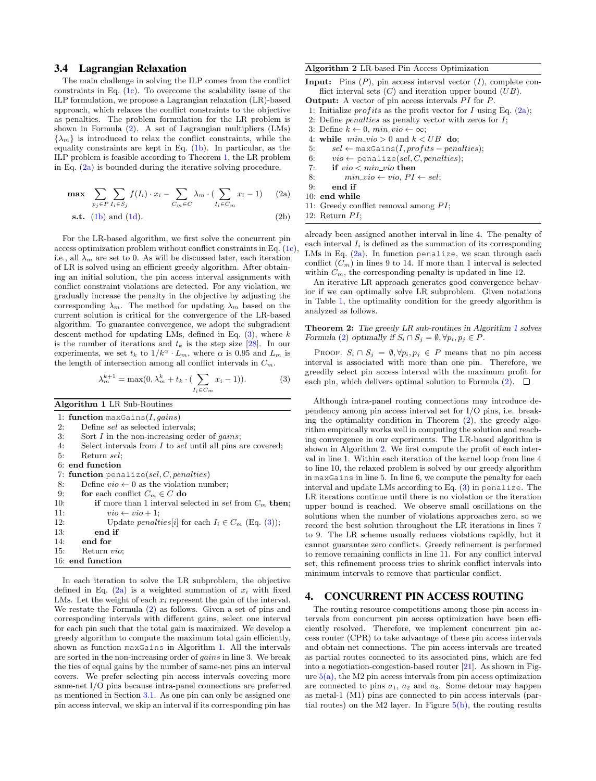#### 3.4 Lagrangian Relaxation

The main challenge in solving the ILP comes from the conflict constraints in Eq.  $(1c)$ . To overcome the scalability issue of the ILP formulation, we propose a Lagrangian relaxation (LR)-based approach, which relaxes the conflict constraints to the objective as penalties. The problem formulation for the LR problem is shown in Formula [\(2\)](#page-3-1). A set of Lagrangian multipliers (LMs)  ${\lambda_m}$  is introduced to relax the conflict constraints, while the equality constraints are kept in Eq. [\(1b\)](#page-2-8). In particular, as the ILP problem is feasible according to Theorem [1,](#page-2-12) the LR problem in Eq. [\(2a\)](#page-3-2) is bounded during the iterative solving procedure.

<span id="page-3-1"></span>
$$
\max \sum_{p_j \in P} \sum_{I_i \in S_j} f(I_i) \cdot x_i - \sum_{C_m \in C} \lambda_m \cdot (\sum_{I_i \in C_m} x_i - 1) \qquad (2a)
$$

$$
s.t. (1b) and (1d). \t(2b)
$$

For the LR-based algorithm, we first solve the concurrent pin access optimization problem without conflict constraints in Eq.  $(1c)$ i.e., all  $\lambda_m$  are set to 0. As will be discussed later, each iteration of LR is solved using an efficient greedy algorithm. After obtaining an initial solution, the pin access interval assignments with conflict constraint violations are detected. For any violation, we gradually increase the penalty in the objective by adjusting the corresponding  $\lambda_m$ . The method for updating  $\lambda_m$  based on the current solution is critical for the convergence of the LR-based algorithm. To guarantee convergence, we adopt the subgradient descent method for updating LMs, defined in Eq.  $(3)$ , where k is the number of iterations and  $t_k$  is the step size [\[28\]](#page-5-27). In our experiments, we set  $t_k$  to  $1/k^{\alpha} \cdot L_m$ , where  $\alpha$  is 0.95 and  $L_m$  is the length of intersection among all conflict intervals in  $C_m$ .

<span id="page-3-3"></span>
$$
\lambda_m^{k+1} = \max(0, \lambda_m^k + t_k \cdot (\sum_{I_i \in C_m} x_i - 1)).
$$
 (3)

<span id="page-3-4"></span>Algorithm 1 LR Sub-Routines

1: **function** maxGains( $I, gains$ )<br>2: Define sel as selected interv Define sel as selected intervals; 3: Sort  $I$  in the non-increasing order of *gains*; 4: Select intervals from I to sel until all pins are covered; 5: Return sel; 6: end function 7: function penalize $(self, C, penalties)$ 8: Define  $vio \leftarrow 0$  as the violation number;<br>9: **for** each conflict  $C_m \in C$  **do** 9: **for** each conflict  $C_m \in C$  **do**<br>10: **if** more than 1 interval se if more than 1 interval selected in sel from  $C_m$  then; 11:  $vio \leftarrow vio + 1;$ <br>12: Undate *nenalts* Update *penalties*[i] for each  $I_i \in C_m$  (Eq. [\(3\)](#page-3-3)); 13: end if 14: end for 15: Return vio; 16: end function

In each iteration to solve the LR subproblem, the objective defined in Eq.  $(2a)$  is a weighted summation of  $x_i$  with fixed LMs. Let the weight of each  $x_i$  represent the gain of the interval. We restate the Formula [\(2\)](#page-3-1) as follows. Given a set of pins and corresponding intervals with different gains, select one interval for each pin such that the total gain is maximized. We develop a greedy algorithm to compute the maximum total gain efficiently, shown as function maxGains in Algorithm [1.](#page-3-4) All the intervals are sorted in the non-increasing order of gains in line 3. We break the ties of equal gains by the number of same-net pins an interval covers. We prefer selecting pin access intervals covering more same-net I/O pins because intra-panel connections are preferred as mentioned in Section [3.1.](#page-1-6) As one pin can only be assigned one pin access interval, we skip an interval if its corresponding pin has

#### <span id="page-3-6"></span>Algorithm 2 LR-based Pin Access Optimization

**Input:** Pins  $(P)$ , pin access interval vector  $(I)$ , complete conflict interval sets  $(C)$  and iteration upper bound  $(UB)$ .

- **Output:** A vector of pin access intervals  $PI$  for  $P$ .
- 1: Initialize *profits* as the profit vector for I using Eq.  $(2a)$ ;
- 2: Define penalties as penalty vector with zeros for I;
- 3: Define  $k \leftarrow 0$ ,  $min\_vio \leftarrow \infty$ ;
- 4: while  $min\_vio > 0$  and  $k < UB$  do;
- 5:  $sel \leftarrow maxGains(I, profits penalties);$
- 6:  $vio \leftarrow \text{penalize}(sel, C, penalties);$ <br>7: **if**  $vio \leftarrow min\_vio$  **then** if  $vio < min\_vio$  then
- <span id="page-3-2"></span>8:  $min\_vio \leftarrow vio, PI \leftarrow sel;$
- 9: end if
- 10: end while
- 11: Greedy conflict removal among  $PI$ ;

```
12: Return PI;
```
already been assigned another interval in line 4. The penalty of each interval  $I_i$  is defined as the summation of its corresponding LMs in Eq.  $(2a)$ . In function penalize, we scan through each conflict  $(C_m)$  in lines 9 to 14. If more than 1 interval is selected within  $C_m$ , the corresponding penalty is updated in line 12.

<span id="page-3-5"></span>An iterative LR approach generates good convergence behavior if we can optimally solve LR subproblem. Given notations in Table [1,](#page-2-0) the optimality condition for the greedy algorithm is analyzed as follows.

#### Theorem 2: The greedy LR sub-routines in Algorithm [1](#page-3-4) solves Formula [\(2\)](#page-3-1) optimally if  $S_i \cap S_j = \emptyset, \forall p_i, p_j \in P$ .

PROOF.  $S_i \cap S_j = \emptyset, \forall p_i, p_j \in P$  means that no pin access interval is associated with more than one pin. Therefore, we greedily select pin access interval with the maximum profit for each pin, which delivers optimal solution to Formula  $(2)$ .  $\Box$ 

Although intra-panel routing connections may introduce dependency among pin access interval set for I/O pins, i.e. breaking the optimality condition in Theorem [\(2\)](#page-3-5), the greedy algorithm empirically works well in computing the solution and reaching convergence in our experiments. The LR-based algorithm is shown in Algorithm [2.](#page-3-6) We first compute the profit of each interval in line 1. Within each iteration of the kernel loop from line 4 to line 10, the relaxed problem is solved by our greedy algorithm in maxGains in line 5. In line 6, we compute the penalty for each interval and update LMs according to Eq.  $(3)$  in penalize. The LR iterations continue until there is no violation or the iteration upper bound is reached. We observe small oscillations on the solutions when the number of violations approaches zero, so we record the best solution throughout the LR iterations in lines 7 to 9. The LR scheme usually reduces violations rapidly, but it cannot guarantee zero conflicts. Greedy refinement is performed to remove remaining conflicts in line 11. For any conflict interval set, this refinement process tries to shrink conflict intervals into minimum intervals to remove that particular conflict.

# 4. CONCURRENT PIN ACCESS ROUTING

<span id="page-3-0"></span>The routing resource competitions among those pin access intervals from concurrent pin access optimization have been efficiently resolved. Therefore, we implement concurrent pin access router (CPR) to take advantage of these pin access intervals and obtain net connections. The pin access intervals are treated as partial routes connected to its associated pins, which are fed into a negotiation-congestion-based router [\[21\]](#page-5-28). As shown in Figure  $5(a)$ , the M2 pin access intervals from pin access optimization are connected to pins  $a_1$ ,  $a_2$  and  $a_3$ . Some detour may happen as metal-1 (M1) pins are connected to pin access intervals (partial routes) on the M2 layer. In Figure  $5(b)$ , the routing results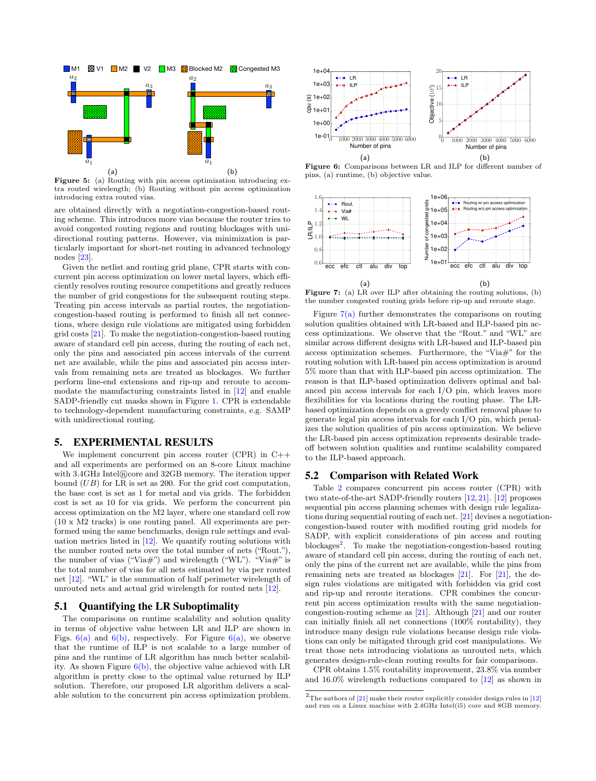

<span id="page-4-1"></span>Figure 5: (a) Routing with pin access optimization introducing extra routed wirelength; (b) Routing without pin access optimization introducing extra routed vias.

are obtained directly with a negotiation-congestion-based routing scheme. This introduces more vias because the router tries to avoid congested routing regions and routing blockages with unidirectional routing patterns. However, via minimization is particularly important for short-net routing in advanced technology nodes [\[23\]](#page-5-18).

Given the netlist and routing grid plane, CPR starts with concurrent pin access optimization on lower metal layers, which efficiently resolves routing resource competitions and greatly reduces the number of grid congestions for the subsequent routing steps. Treating pin access intervals as partial routes, the negotiationcongestion-based routing is performed to finish all net connections, where design rule violations are mitigated using forbidden grid costs [\[21\]](#page-5-28). To make the negotiation-congestion-based routing aware of standard cell pin access, during the routing of each net, only the pins and associated pin access intervals of the current net are available, while the pins and associated pin access intervals from remaining nets are treated as blockages. We further perform line-end extensions and rip-up and reroute to accommodate the manufacturing constraints listed in [\[12\]](#page-5-19) and enable SADP-friendly cut masks shown in Figure [1.](#page-0-1) CPR is extendable to technology-dependent manufacturing constraints, e.g. SAMP with unidirectional routing.

## <span id="page-4-0"></span>5. EXPERIMENTAL RESULTS

We implement concurrent pin access router (CPR) in  $C++$ and all experiments are performed on an 8-core Linux machine with 3.4GHz Intel®core and 32GB memory. The iteration upper bound  $(UB)$  for LR is set as 200. For the grid cost computation, the base cost is set as 1 for metal and via grids. The forbidden cost is set as 10 for via grids. We perform the concurrent pin access optimization on the M2 layer, where one standard cell row (10 x M2 tracks) is one routing panel. All experiments are performed using the same benchmarks, design rule settings and evaluation metrics listed in [\[12\]](#page-5-19). We quantify routing solutions with the number routed nets over the total number of nets ("Rout."), the number of vias ("Via#") and wirelength ("WL"). "Via#" is the total number of vias for all nets estimated by via per routed net [\[12\]](#page-5-19). "WL" is the summation of half perimeter wirelength of unrouted nets and actual grid wirelength for routed nets [\[12\]](#page-5-19).

#### 5.1 Quantifying the LR Suboptimality

The comparisons on runtime scalability and solution quality in terms of objective value between LR and ILP are shown in Figs.  $6(a)$  and  $6(b)$ , respectively. For Figure  $6(a)$ , we observe that the runtime of ILP is not scalable to a large number of pins and the runtime of LR algorithm has much better scalability. As shown Figure  $6(b)$ , the objective value achieved with LR algorithm is pretty close to the optimal value returned by ILP solution. Therefore, our proposed LR algorithm delivers a scalable solution to the concurrent pin access optimization problem.

<span id="page-4-3"></span>

<span id="page-4-5"></span><span id="page-4-4"></span><span id="page-4-2"></span>Figure 6: Comparisons between LR and ILP for different number of pins, (a) runtime, (b) objective value.



<span id="page-4-7"></span>Figure 7: (a) LR over ILP after obtaining the routing solutions, (b) the number congested routing grids before rip-up and reroute stage.

Figure  $7(a)$  further demonstrates the comparisons on routing solution qualities obtained with LR-based and ILP-based pin access optimizations. We observe that the "Rout." and "WL" are similar across different designs with LR-based and ILP-based pin access optimization schemes. Furthermore, the "Via#" for the routing solution with LR-based pin access optimization is around 5% more than that with ILP-based pin access optimization. The reason is that ILP-based optimization delivers optimal and balanced pin access intervals for each I/O pin, which leaves more flexibilities for via locations during the routing phase. The LRbased optimization depends on a greedy conflict removal phase to generate legal pin access intervals for each I/O pin, which penalizes the solution qualities of pin access optimization. We believe the LR-based pin access optimization represents desirable tradeoff between solution qualities and runtime scalability compared to the ILP-based approach.

#### 5.2 Comparison with Related Work

Table [2](#page-5-29) compares concurrent pin access router (CPR) with two state-of-the-art SADP-friendly routers [\[12,](#page-5-19)[21\]](#page-5-28). [\[12\]](#page-5-19) proposes sequential pin access planning schemes with design rule legalizations during sequential routing of each net. [\[21\]](#page-5-28) devises a negotiationcongestion-based router with modified routing grid models for SADP, with explicit considerations of pin access and routing blockages<sup>[2](#page-4-6)</sup>. To make the negotiation-congestion-based routing aware of standard cell pin access, during the routing of each net, only the pins of the current net are available, while the pins from remaining nets are treated as blockages [\[21\]](#page-5-28). For [\[21\]](#page-5-28), the design rules violations are mitigated with forbidden via grid cost and rip-up and reroute iterations. CPR combines the concurrent pin access optimization results with the same negotiationcongestion-routing scheme as [\[21\]](#page-5-28). Although [\[21\]](#page-5-28) and our router can initially finish all net connections (100% routability), they introduce many design rule violations because design rule violations can only be mitigated through grid cost manipulations. We treat those nets introducing violations as unrouted nets, which generates design-rule-clean routing results for fair comparisons.

CPR obtains 1.5% routability improvement, 23.8% via number and 16.0% wirelength reductions compared to [\[12\]](#page-5-19) as shown in

<span id="page-4-6"></span> $2$ The authors of [\[21\]](#page-5-28) make their router explicitly consider design rules in [\[12\]](#page-5-19) and run on a Linux machine with 2.4GHz Intel(i5) core and 8GB memory.